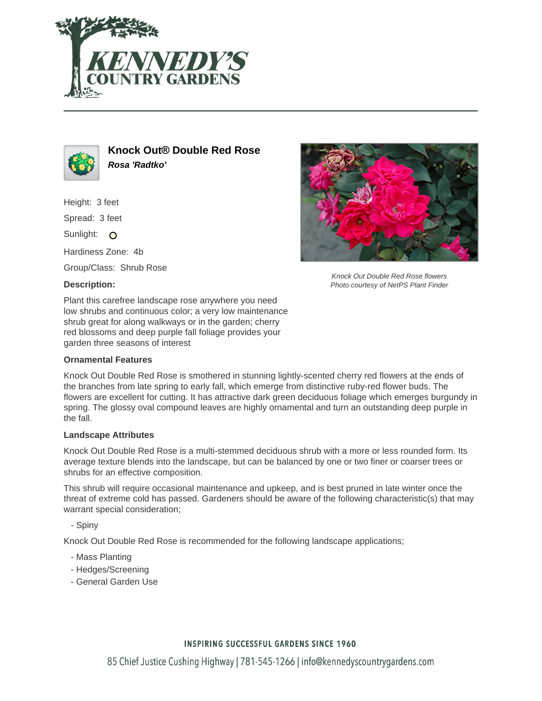



**Knock Out® Double Red Rose Rosa 'Radtko'**

Height: 3 feet

Spread: 3 feet

Sunlight: O

Hardiness Zone: 4b

Group/Class: Shrub Rose

### **Description:**



Knock Out Double Red Rose flowers Photo courtesy of NetPS Plant Finder

Plant this carefree landscape rose anywhere you need low shrubs and continuous color; a very low maintenance shrub great for along walkways or in the garden; cherry red blossoms and deep purple fall foliage provides your garden three seasons of interest

#### **Ornamental Features**

Knock Out Double Red Rose is smothered in stunning lightly-scented cherry red flowers at the ends of the branches from late spring to early fall, which emerge from distinctive ruby-red flower buds. The flowers are excellent for cutting. It has attractive dark green deciduous foliage which emerges burgundy in spring. The glossy oval compound leaves are highly ornamental and turn an outstanding deep purple in the fall.

#### **Landscape Attributes**

Knock Out Double Red Rose is a multi-stemmed deciduous shrub with a more or less rounded form. Its average texture blends into the landscape, but can be balanced by one or two finer or coarser trees or shrubs for an effective composition.

This shrub will require occasional maintenance and upkeep, and is best pruned in late winter once the threat of extreme cold has passed. Gardeners should be aware of the following characteristic(s) that may warrant special consideration;

- Spiny

Knock Out Double Red Rose is recommended for the following landscape applications;

- Mass Planting
- Hedges/Screening
- General Garden Use

## **INSPIRING SUCCESSFUL GARDENS SINCE 1960**

85 Chief Justice Cushing Highway | 781-545-1266 | info@kennedyscountrygardens.com